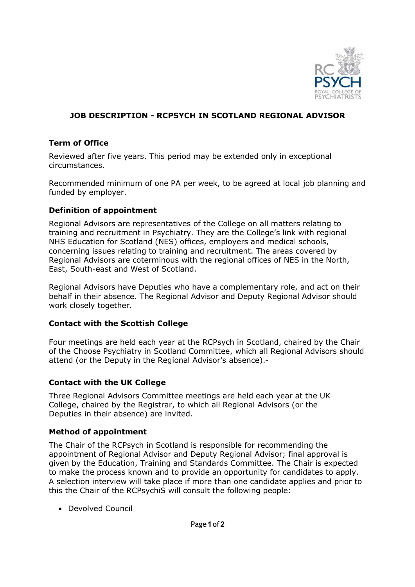

## JOB DESCRIPTION - RCPSYCH IN SCOTLAND REGIONAL ADVISOR

### Term of Office

Reviewed after five years. This period may be extended only in exceptional circumstances.

Recommended minimum of one PA per week, to be agreed at local job planning and funded by employer.

#### Definition of appointment

Regional Advisors are representatives of the College on all matters relating to training and recruitment in Psychiatry. They are the College's link with regional NHS Education for Scotland (NES) offices, employers and medical schools, concerning issues relating to training and recruitment. The areas covered by Regional Advisors are coterminous with the regional offices of NES in the North, East, South-east and West of Scotland.

Regional Advisors have Deputies who have a complementary role, and act on their behalf in their absence. The Regional Advisor and Deputy Regional Advisor should work closely together.

#### Contact with the Scottish College

Four meetings are held each year at the RCPsych in Scotland, chaired by the Chair of the Choose Psychiatry in Scotland Committee, which all Regional Advisors should attend (or the Deputy in the Regional Advisor's absence).

#### Contact with the UK College

Three Regional Advisors Committee meetings are held each year at the UK College, chaired by the Registrar, to which all Regional Advisors (or the Deputies in their absence) are invited.

#### Method of appointment

The Chair of the RCPsych in Scotland is responsible for recommending the appointment of Regional Advisor and Deputy Regional Advisor; final approval is given by the Education, Training and Standards Committee. The Chair is expected to make the process known and to provide an opportunity for candidates to apply. A selection interview will take place if more than one candidate applies and prior to this the Chair of the RCPsychiS will consult the following people:

• Devolved Council